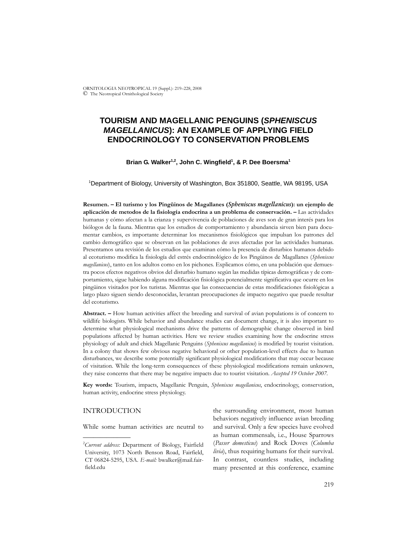ORNITOLOGIA NEOTROPICAL 19 (Suppl.): 219–228, 2008 © The Neotropical Ornithological Society

# **TOURISM AND MAGELLANIC PENGUINS (***SPHENISCUS MAGELLANICUS***): AN EXAMPLE OF APPLYING FIELD ENDOCRINOLOGY TO CONSERVATION PROBLEMS**

### Brian G. Walker<sup>1,2</sup>, John C. Wingfield<sup>1</sup>, & P. Dee Boersma<sup>1</sup>

1 Department of Biology, University of Washington, Box 351800, Seattle, WA 98195, USA

**Resumen. – El turismo y los Pingüinos de Magallanes (***Spheniscus magellanicus***): un ejemplo de aplicación de metodos de la fisiología endocrina a un problema de conservación. –** Las actividades humanas y cómo afectan a la crianza y supervivencia de poblaciones de aves son de gran interés para los biólogos de la fauna. Mientras que los estudios de comportamiento y abundancia sirven bien para documentar cambios, es importante determinar los mecanismos fisiológicos que impulsan los patrones del cambio demográfico que se observan en las poblaciones de aves afectadas por las actividades humanas. Presentamos una revisión de los estudios que examinan cómo la presencia de disturbios humanos debido al ecoturismo modifica la fisiología del estrés endocrinológico de los Pingüinos de Magallanes (*Spheniscus magellanicus*), tanto en los adultos como en los pichones. Explicamos cómo, en una población que demuestra pocos efectos negativos obvios del disturbio humano según las medidas típicas demográficas y de comportamiento, sigue habiendo alguna modificación fisiológica potencialmente significativa que ocurre en los pingüinos visitados por los turistas. Mientras que las consecuencias de estas modificaciones fisiológicas a largo plazo siguen siendo desconocidas, levantan preocupaciones de impacto negativo que puede resultar del ecoturismo.

**Abstract. –** How human activities affect the breeding and survival of avian populations is of concern to wildlife biologists. While behavior and abundance studies can document change, it is also important to determine what physiological mechanisms drive the patterns of demographic change observed in bird populations affected by human activities. Here we review studies examining how the endocrine stress physiology of adult and chick Magellanic Penguins (*Spheniscus magellanicus*) is modified by tourist visitation. In a colony that shows few obvious negative behavioral or other population-level effects due to human disturbances, we describe some potentially significant physiological modifications that may occur because of visitation. While the long-term consequences of these physiological modifications remain unknown, they raise concerns that there may be negative impacts due to tourist visitation. *Accepted 19 October 2007.*

**Key words:** Tourism, impacts, Magellanic Penguin, *Spheniscus magellanicus*, endocrinology, conservation, human activity, endocrine stress physiology.

# INTRODUCTION

\_\_\_\_\_\_\_\_\_\_\_\_\_\_

While some human activities are neutral to

the surrounding environment, most human behaviors negatively influence avian breeding and survival. Only a few species have evolved as human commensals, i.e., House Sparrows (*Passer domesticus*) and Rock Doves (*Columba livia*), thus requiring humans for their survival. In contrast, countless studies, including many presented at this conference, examine

<sup>2</sup> *Current address:* Department of Biology, Fairfield University, 1073 North Benson Road, Fairfield, CT 06824-5295, USA. *E-mail:* bwalker@mail.fairfield.edu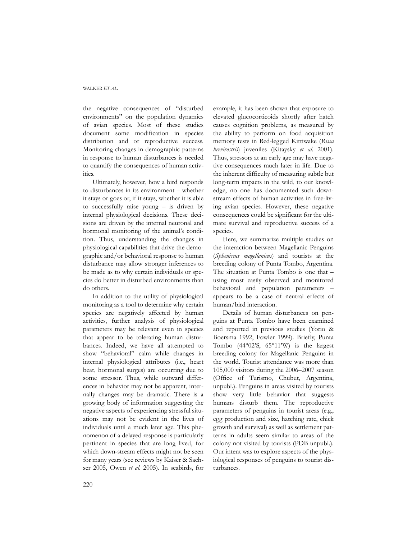#### WAI KER *FT AL.*

the negative consequences of "disturbed environments" on the population dynamics of avian species. Most of these studies document some modification in species distribution and or reproductive success. Monitoring changes in demographic patterns in response to human disturbances is needed to quantify the consequences of human activities.

Ultimately, however, how a bird responds to disturbances in its environment – whether it stays or goes or, if it stays, whether it is able to successfully raise young – is driven by internal physiological decisions. These decisions are driven by the internal neuronal and hormonal monitoring of the animal's condition. Thus, understanding the changes in physiological capabilities that drive the demographic and/or behavioral response to human disturbance may allow stronger inferences to be made as to why certain individuals or species do better in disturbed environments than do others.

In addition to the utility of physiological monitoring as a tool to determine why certain species are negatively affected by human activities, further analysis of physiological parameters may be relevant even in species that appear to be tolerating human disturbances. Indeed, we have all attempted to show "behavioral" calm while changes in internal physiological attributes (i.e., heart beat, hormonal surges) are occurring due to some stressor. Thus, while outward differences in behavior may not be apparent, internally changes may be dramatic. There is a growing body of information suggesting the negative aspects of experiencing stressful situations may not be evident in the lives of individuals until a much later age. This phenomenon of a delayed response is particularly pertinent in species that are long lived, for which down-stream effects might not be seen for many years (see reviews by Kaiser & Sachser 2005, Owen *et al.* 2005). In seabirds, for example, it has been shown that exposure to elevated glucocorticoids shortly after hatch causes cognition problems, as measured by the ability to perform on food acquisition memory tests in Red-legged Kittiwake (*Rissa brevirostris*) juveniles (Kitaysky *et al.* 2001). Thus, stressors at an early age may have negative consequences much later in life. Due to the inherent difficulty of measuring subtle but long-term impacts in the wild, to our knowledge, no one has documented such downstream effects of human activities in free-living avian species. However, these negative consequences could be significant for the ultimate survival and reproductive success of a species.

Here, we summarize multiple studies on the interaction between Magellanic Penguins (*Spheniscus magellanicus*) and tourists at the breeding colony of Punta Tombo, Argentina. The situation at Punta Tombo is one that – using most easily observed and monitored behavioral and population parameters – appears to be a case of neutral effects of human/bird interaction.

Details of human disturbances on penguins at Punta Tombo have been examined and reported in previous studies (Yorio & Boersma 1992, Fowler 1999). Briefly, Punta Tombo (44°02'S, 65°11'W) is the largest breeding colony for Magellanic Penguins in the world. Tourist attendance was more than 105,000 visitors during the 2006–2007 season (Office of Turismo, Chubut, Argentina, unpubl.). Penguins in areas visited by tourists show very little behavior that suggests humans disturb them. The reproductive parameters of penguins in tourist areas (e.g., egg production and size, hatching rate, chick growth and survival) as well as settlement patterns in adults seem similar to areas of the colony not visited by tourists (PDB unpubl.). Our intent was to explore aspects of the physiological responses of penguins to tourist disturbances.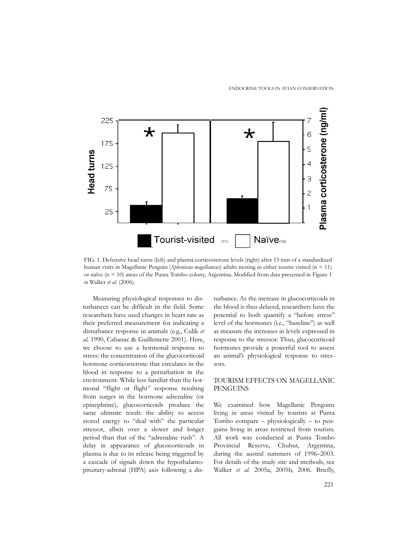

FIG. 1. Defensive head turns (left) and plasma corticosterone levels (right) after 15 min of a standardized human visits in Magellanic Penguin (*Spheniscus magellanicus*) adults nesting in either tourist visited (n = 11) or naïve (n = 10) areas of the Punta Tombo colony, Argentina. Modified from data presented in Figure 1 *in* Walker *et al.* (2006).

Measuring physiological responses to disturbances can be difficult in the field. Some researchers have used changes in heart rate as their preferred measurement for indicating a disturbance response in animals (e.g., Culik *et al.* 1990, Cabanac & Guillemette 2001). Here, we choose to use a hormonal response to stress: the concentration of the glucocorticoid hormone corticosterone that circulates in the blood in response to a perturbation in the environment. While less familiar than the hormonal "flight or flight" response resulting from surges in the hormone adrenaline (or epinephrine), glucocorticoids produce the same ultimate result: the ability to access stored energy to "deal with" the particular stressor, albeit over a slower and longer period than that of the "adrenaline rush". A delay in appearance of glucocorticoids in plasma is due to its release being triggered by a cascade of signals down the hypothalamopituitary-adrenal (HPA) axis following a dis-

turbance. As the increase in glucocorticoids in the blood is thus delayed, researchers have the potential to both quantify a "before stress" level of the hormones (i.e., "baseline") as well as measure the increases in levels expressed in response to the stressor. Thus, glucocorticoid hormones provide a powerful tool to assess an animal's physiological response to stressors.

# TOURISM EFFECTS ON MAGELLANIC **PENGUINS**

We examined how Magellanic Penguins living in areas visited by tourists at Punta Tombo compare – physiologically – to penguins living in areas restricted from tourists. All work was conducted at Punta Tombo Provincial Reserve, Chubut, Argentina, during the austral summers of 1996–2003. For details of the study site and methods, see Walker *et al.* 2005a, 2005b, 2006. Briefly,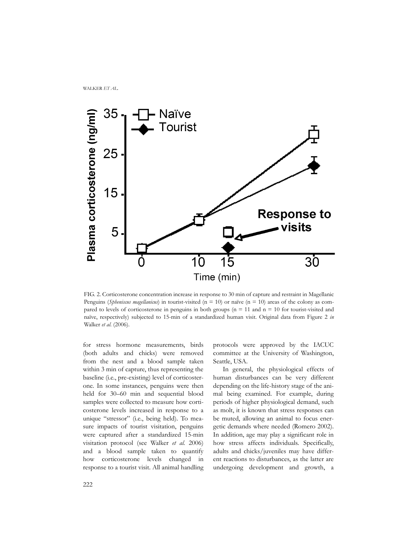

FIG. 2. Corticosterone concentration increase in response to 30 min of capture and restraint in Magellanic Penguins (*Spheniscus magellanicus*) in tourist-visited (n = 10) or naïve (n = 10) areas of the colony as compared to levels of corticosterone in penguins in both groups ( $n = 11$  and  $n = 10$  for tourist-visited and naïve, respectively) subjected to 15-min of a standardized human visit. Original data from Figure 2 *in* Walker *et al.* (2006).

for stress hormone measurements, birds (both adults and chicks) were removed from the nest and a blood sample taken within 3 min of capture, thus representing the baseline (i.e., pre-existing) level of corticosterone. In some instances, penguins were then held for 30–60 min and sequential blood samples were collected to measure how corticosterone levels increased in response to a unique "stressor" (i.e., being held). To measure impacts of tourist visitation, penguins were captured after a standardized 15-min visitation protocol (see Walker *et al.* 2006) and a blood sample taken to quantify how corticosterone levels changed in response to a tourist visit. All animal handling

protocols were approved by the IACUC committee at the University of Washington, Seattle, USA.

In general, the physiological effects of human disturbances can be very different depending on the life-history stage of the animal being examined. For example, during periods of higher physiological demand, such as molt, it is known that stress responses can be muted, allowing an animal to focus energetic demands where needed (Romero 2002). In addition, age may play a significant role in how stress affects individuals. Specifically, adults and chicks/juveniles may have different reactions to disturbances, as the latter are undergoing development and growth, a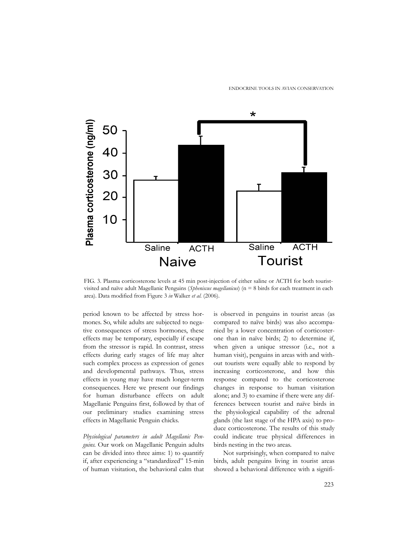ENDOCRINE TOOLS IN AVIAN CONSERVATION



FIG. 3. Plasma corticosterone levels at 45 min post-injection of either saline or ACTH for both touristvisited and naïve adult Magellanic Penguins (*Spheniscus magellanicus*) (n = 8 birds for each treatment in each area). Data modified from Figure 3 *in* Walker *et al.* (2006).

period known to be affected by stress hormones. So, while adults are subjected to negative consequences of stress hormones, these effects may be temporary, especially if escape from the stressor is rapid. In contrast, stress effects during early stages of life may alter such complex process as expression of genes and developmental pathways. Thus, stress effects in young may have much longer-term consequences. Here we present our findings for human disturbance effects on adult Magellanic Penguins first, followed by that of our preliminary studies examining stress effects in Magellanic Penguin chicks.

*Physiological parameters in adult Magellanic Penguins.* Our work on Magellanic Penguin adults can be divided into three aims: 1) to quantify if, after experiencing a "standardized" 15-min of human visitation, the behavioral calm that is observed in penguins in tourist areas (as compared to naïve birds) was also accompanied by a lower concentration of corticosterone than in naïve birds; 2) to determine if, when given a unique stressor (i.e., not a human visit), penguins in areas with and without tourists were equally able to respond by increasing corticosterone, and how this response compared to the corticosterone changes in response to human visitation alone; and 3) to examine if there were any differences between tourist and naïve birds in the physiological capability of the adrenal glands (the last stage of the HPA axis) to produce corticosterone. The results of this study could indicate true physical differences in birds nesting in the two areas.

Not surprisingly, when compared to naïve birds, adult penguins living in tourist areas showed a behavioral difference with a signifi-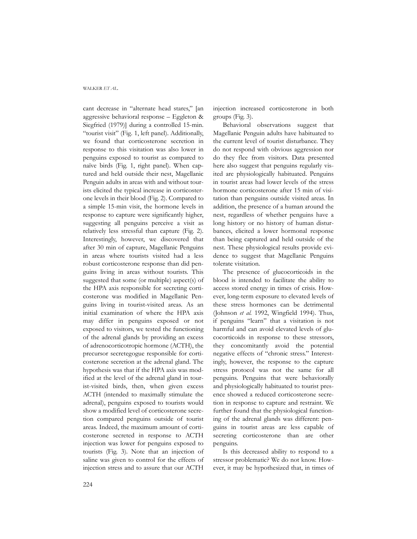cant decrease in "alternate head stares," [an aggressive behavioral response – Eggleton & Siegfried (1979)] during a controlled 15-min. "tourist visit" (Fig*.* 1, left panel). Additionally, we found that corticosterone secretion in response to this visitation was also lower in penguins exposed to tourist as compared to naïve birds (Fig. 1, right panel). When captured and held outside their nest, Magellanic Penguin adults in areas with and without tourists elicited the typical increase in corticosterone levels in their blood (Fig. 2). Compared to a simple 15-min visit, the hormone levels in response to capture were significantly higher, suggesting all penguins perceive a visit as relatively less stressful than capture (Fig. 2). Interestingly, however, we discovered that after 30 min of capture, Magellanic Penguins in areas where tourists visited had a less robust corticosterone response than did penguins living in areas without tourists. This suggested that some (or multiple) aspect(s) of the HPA axis responsible for secreting corticosterone was modified in Magellanic Penguins living in tourist-visited areas. As an initial examination of where the HPA axis may differ in penguins exposed or not exposed to visitors, we tested the functioning of the adrenal glands by providing an excess of adrenocorticotropic hormone (ACTH), the precursor secretegogue responsible for corticosterone secretion at the adrenal gland. The hypothesis was that if the HPA axis was modified at the level of the adrenal gland in tourist-visited birds, then, when given excess ACTH (intended to maximally stimulate the adrenal), penguins exposed to tourists would show a modified level of corticosterone secretion compared penguins outside of tourist areas. Indeed, the maximum amount of corticosterone secreted in response to ACTH injection was lower for penguins exposed to tourists (Fig. 3). Note that an injection of saline was given to control for the effects of injection stress and to assure that our ACTH

injection increased corticosterone in both groups (Fig. 3).

Behavioral observations suggest that Magellanic Penguin adults have habituated to the current level of tourist disturbance. They do not respond with obvious aggression nor do they flee from visitors. Data presented here also suggest that penguins regularly visited are physiologically habituated. Penguins in tourist areas had lower levels of the stress hormone corticosterone after 15 min of visitation than penguins outside visited areas. In addition, the presence of a human around the nest, regardless of whether penguins have a long history or no history of human disturbances, elicited a lower hormonal response than being captured and held outside of the nest. These physiological results provide evidence to suggest that Magellanic Penguins tolerate visitation.

The presence of glucocorticoids in the blood is intended to facilitate the ability to access stored energy in times of crisis. However, long-term exposure to elevated levels of these stress hormones can be detrimental (Johnson *et al.* 1992, Wingfield 1994). Thus, if penguins "learn" that a visitation is not harmful and can avoid elevated levels of glucocorticoids in response to these stressors, they concomitantly avoid the potential negative effects of "chronic stress." Interestingly, however, the response to the capture stress protocol was not the same for all penguins. Penguins that were behaviorally and physiologically habituated to tourist presence showed a reduced corticosterone secretion in response to capture and restraint. We further found that the physiological functioning of the adrenal glands was different: penguins in tourist areas are less capable of secreting corticosterone than are other penguins.

Is this decreased ability to respond to a stressor problematic? We do not know. However, it may be hypothesized that, in times of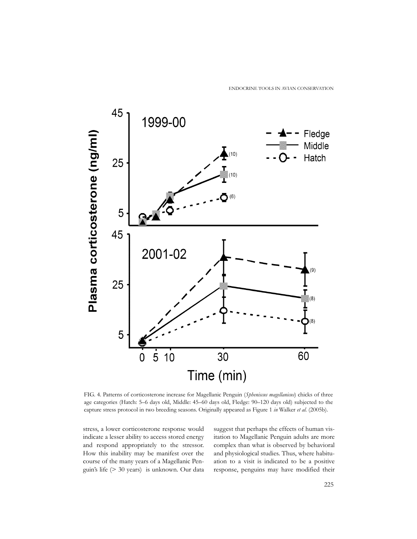ENDOCRINE TOOLS IN AVIAN CONSERVATION



FIG. 4. Patterns of corticosterone increase for Magellanic Penguin (*Spheniscus magellanicus*) chicks of three age categories (Hatch: 5–6 days old, Middle: 45–60 days old, Fledge: 90–120 days old) subjected to the capture stress protocol in two breeding seasons. Originally appeared as Figure 1 *in* Walker *et al.* (2005b).

stress, a lower corticosterone response would indicate a lesser ability to access stored energy and respond appropriately to the stressor. How this inability may be manifest over the course of the many years of a Magellanic Penguin's life (> 30 years) is unknown. Our data

suggest that perhaps the effects of human visitation to Magellanic Penguin adults are more complex than what is observed by behavioral and physiological studies. Thus, where habituation to a visit is indicated to be a positive response, penguins may have modified their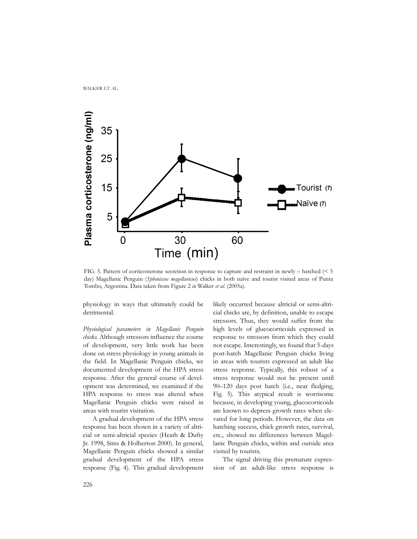

FIG. 5. Pattern of corticosterone secretion in response to capture and restraint in newly – hatched (< 5 day) Magellanic Penguin (*Spheniscus magellanicus*) chicks in both naïve and tourist visited areas of Punta Tombo, Argentina. Data taken from Figure 2 *in* Walker *et al.* (2005a).

physiology in ways that ultimately could be detrimental.

*Physiological parameters in Magellanic Penguin chicks.* Although stressors influence the course of development, very little work has been done on stress physiology in young animals in the field. In Magellanic Penguin chicks, we documented development of the HPA stress response. After the general course of development was determined, we examined if the HPA response to stress was altered when Magellanic Penguin chicks were raised in areas with tourist visitation.

A gradual development of the HPA stress response has been shown in a variety of altricial or semi-altricial species (Heath & Dufty Jr. 1998, Sims & Holberton 2000). In general, Magellanic Penguin chicks showed a similar gradual development of the HPA stress response (Fig. 4). This gradual development

likely occurred because altricial or semi-altricial chicks are, by definition, unable to escape stressors. Thus, they would suffer from the high levels of glucocorticoids expressed in response to stressors from which they could not escape. Interestingly, we found that 5-days post-hatch Magellanic Penguin chicks living in areas with tourists expressed an adult like stress response. Typically, this robust of a stress response would not be present until 90–120 days post hatch (i.e., near fledging, Fig. 5). This atypical result is worrisome because, in developing young, glucocorticoids are known to depress growth rates when elevated for long periods. However, the data on hatching success, chick growth rates, survival, etc., showed no differences between Magellanic Penguin chicks, within and outside area visited by tourists.

The signal driving this premature expression of an adult-like stress response is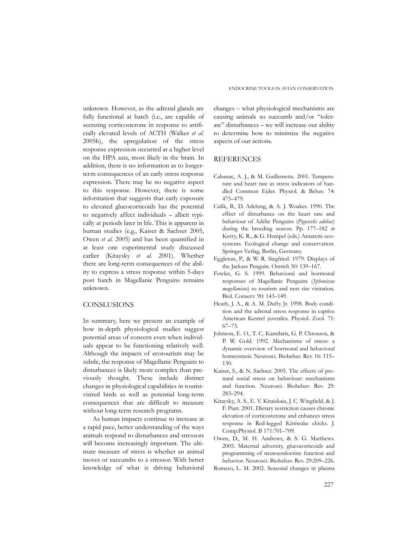unknown. However, as the adrenal glands are fully functional at hatch (i.e., are capable of secreting corticosterone in response to artificially elevated levels of ACTH (Walker *et al.* 2005b), the upregulation of the stress response expression occurred at a higher level on the HPA axis, most likely in the brain. In addition, there is no information as to longerterm consequences of an early stress response expression. There may be no negative aspect to this response. However, there is some information that suggests that early exposure to elevated glucocorticoids has the potential to negatively affect individuals – albeit typically at periods later in life. This is apparent in human studies (e.g., Kaiser & Sachser 2005, Owen *et al.* 2005) and has been quantified in at least one experimental study discussed earlier (Kitaysky *et al.* 2001). Whether there are long-term consequences of the ability to express a stress response within 5-days post hatch in Magellanic Penguins remains unknown.

### CONSLUSIONS

In summary, here we present an example of how in-depth physiological studies suggest potential areas of concern even when individuals appear to be functioning relatively well. Although the impacts of ecotourism may be subtle, the response of Magellanic Penguins to disturbances is likely more complex than previously thought. These include distinct changes in physiological capabilities in touristvisited birds as well as potential long-term consequences that are difficult to measure without long-term research programs.

As human impacts continue to increase at a rapid pace, better understanding of the ways animals respond to disturbances and stressors will become increasingly important. The ultimate measure of stress is whether an animal moves or succumbs to a stressor. With better knowledge of what is driving behavioral changes – what physiological mechanisms are causing animals so succumb and/or "tolerate" disturbances – we will increase our ability to determine how to minimize the negative aspects of our actions.

## **REFERENCES**

- Cabanac, A. J., & M. Guillemette. 2001. Temperature and heart rate as stress indicators of handled Common Eider. Physiol. & Behav. 74: 475–479.
- Culik, B., D. Adelung, & A. J. Woakes. 1990. The effect of disturbance on the heart rate and behaviour of Adélie Penguins (*Pygoscelis adeliae*) during the breeding season. Pp. 177–182 *in* Kerry, K. R., & G. Hempel (eds.) Antarctic ecosystems. Ecological change and conservation. Springer-Verlag, Berlin, Germany.
- Eggleton, P., & W. R. Siegfried. 1979. Displays of the Jackass Penguin. Ostrich 50: 139–167.
- Fowler, G. S. 1999. Behavioral and hormonal responses of Magellanic Penguins (*Spheniscus magellanicus*) to tourism and nest site visitation. Biol. Conserv. 90: 143–149.
- Heath, J. A., & A. M. Dufty Jr. 1998. Body condition and the adrenal stress response in captive American Kestrel juveniles. Physiol. Zool. 71: 67–73.
- Johnson, E. O., T. C. Kamilaris, G. P. Chrousos, & P. W. Gold. 1992. Mechanisms of stress: a dynamic overview of hormonal and behavioral homeostasis. Neurosci. Biobehav. Rev. 16: 115– 130.
- Kaiser, S., & N. Sachser. 2005. The effects of prenatal social stress on behaviour: mechanisms and function. Neurosci. Biobehav. Rev. 29: 283–294.
- Kitaysky, A. S., E. V. Kitaiskaia, J. C. Wingfield, & J. F. Piatt. 2001. Dietary restriction causes chronic elevation of corticosterone and enhances stress response in Red-legged Kittiwake chicks. J. Comp.Physiol. B 171:701–709.
- Owen, D., M. H. Andrews, & S. G. Matthews. 2005. Maternal adversity, glucocorticoids and programming of neuroendocrine function and behavior. Neurosci. Biobehav. Rev. 29:209–226.
- Romero, L. M. 2002. Seasonal changes in plasma